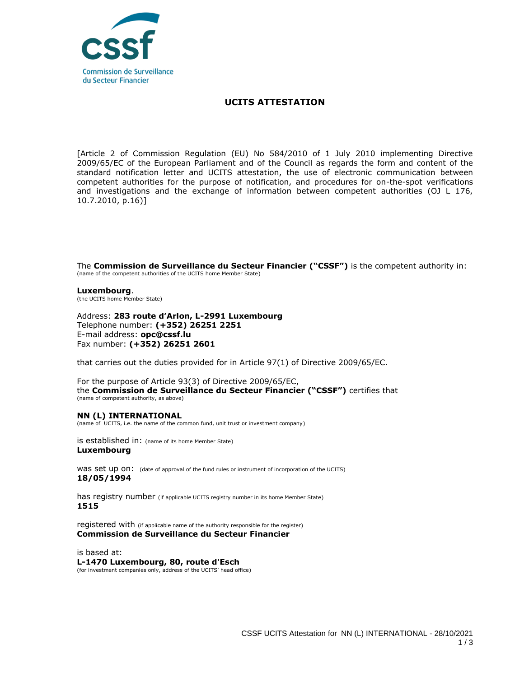

#### **UCITS ATTESTATION**

[Article 2 of Commission Regulation (EU) No 584/2010 of 1 July 2010 implementing Directive 2009/65/EC of the European Parliament and of the Council as regards the form and content of the standard notification letter and UCITS attestation, the use of electronic communication between competent authorities for the purpose of notification, and procedures for on-the-spot verifications and investigations and the exchange of information between competent authorities (OJ L 176, 10.7.2010, p.16)]

The **Commission de Surveillance du Secteur Financier ("CSSF")** is the competent authority in: (name of the competent authorities of the UCITS home Member State)

**Luxembourg**. (the UCITS home Member State)

Address: **283 route d'Arlon, L-2991 Luxembourg** Telephone number: **(+352) 26251 2251**  E-mail address: **opc@cssf.lu** Fax number: **(+352) 26251 2601**

that carries out the duties provided for in Article 97(1) of Directive 2009/65/EC.

For the purpose of Article 93(3) of Directive 2009/65/EC, the **Commission de Surveillance du Secteur Financier ("CSSF")** certifies that (name of competent authority, as above)

### **NN (L) INTERNATIONAL**

(name of UCITS, i.e. the name of the common fund, unit trust or investment company)

is established in: (name of its home Member State) **Luxembourg**

WAS Set up ON: (date of approval of the fund rules or instrument of incorporation of the UCITS) **18/05/1994**

has registry number (if applicable UCITS registry number in its home Member State) **1515**

registered with (if applicable name of the authority responsible for the register) **Commission de Surveillance du Secteur Financier**

is based at: **L-1470 Luxembourg, 80, route d'Esch** (for investment companies only, address of the UCITS' head office)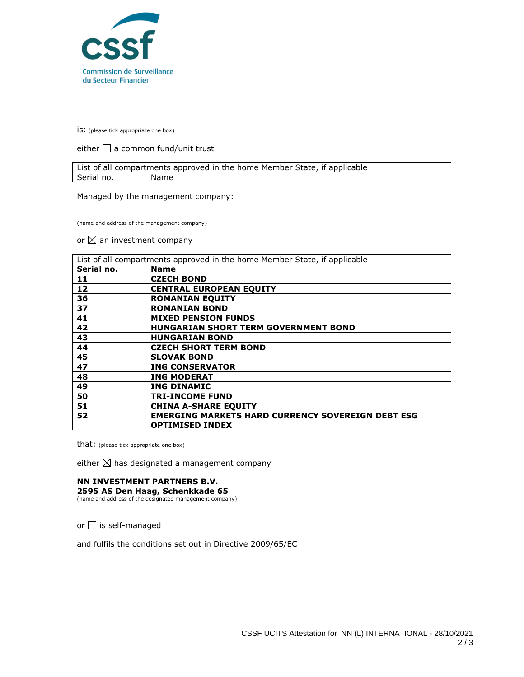

is: (please tick appropriate one box)

either  $\Box$  a common fund/unit trust

| List of all compartments approved in the home Member State, if applicable |      |  |
|---------------------------------------------------------------------------|------|--|
| Serial no.                                                                | Name |  |

Managed by the management company:

(name and address of the management company)

#### or  $\boxtimes$  an investment company

| List of all compartments approved in the home Member State, if applicable |                                                          |
|---------------------------------------------------------------------------|----------------------------------------------------------|
| Serial no.                                                                | <b>Name</b>                                              |
| 11                                                                        | <b>CZECH BOND</b>                                        |
| 12                                                                        | <b>CENTRAL EUROPEAN EQUITY</b>                           |
| 36                                                                        | <b>ROMANIAN EQUITY</b>                                   |
| 37                                                                        | <b>ROMANIAN BOND</b>                                     |
| 41                                                                        | <b>MIXED PENSION FUNDS</b>                               |
| 42                                                                        | <b>HUNGARIAN SHORT TERM GOVERNMENT BOND</b>              |
| 43                                                                        | <b>HUNGARIAN BOND</b>                                    |
| 44                                                                        | <b>CZECH SHORT TERM BOND</b>                             |
| 45                                                                        | <b>SLOVAK BOND</b>                                       |
| 47                                                                        | <b>ING CONSERVATOR</b>                                   |
| 48                                                                        | <b>ING MODERAT</b>                                       |
| 49                                                                        | <b>ING DINAMIC</b>                                       |
| 50                                                                        | <b>TRI-INCOME FUND</b>                                   |
| 51                                                                        | <b>CHINA A-SHARE EQUITY</b>                              |
| 52                                                                        | <b>EMERGING MARKETS HARD CURRENCY SOVEREIGN DEBT ESG</b> |
|                                                                           | <b>OPTIMISED INDEX</b>                                   |

that: (please tick appropriate one box)

either  $\boxtimes$  has designated a management company

## **NN INVESTMENT PARTNERS B.V.**

**2595 AS Den Haag, Schenkkade 65** (name and address of the designated management company)

or  $\Box$  is self-managed

and fulfils the conditions set out in Directive 2009/65/EC